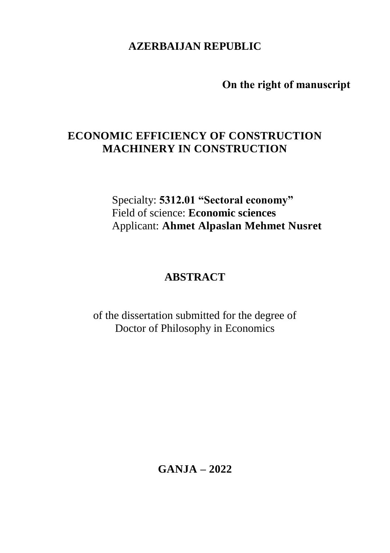**AZERBAIJAN REPUBLIC**

**On the right of manuscript**

# **ECONOMIC EFFICIENCY OF CONSTRUCTION MACHINERY IN CONSTRUCTION**

Specialty: **5312.01 "Sectoral economy"** Field of science: **Economic sciences** Applicant: **Ahmet Alpaslan Mehmet Nusret**

## **ABSTRACT**

of the dissertation submitted for the degree of Doctor of Philosophy in Economics

**GANJA – 2022**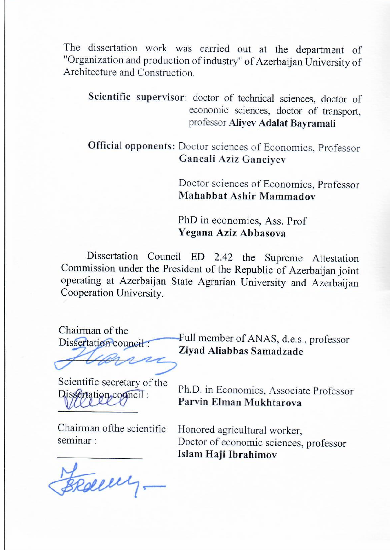The dissertation work was carried out at the department of "Organization and production of industry" of Azerbaijan University of Architecture and Construction.

**Scientific supervisor**: doctor of technical sciences, doctor of economic sciences, doctor of transport, professor **Aliyev Adalat Bayramali** 

**Official opponents:** Doctor sciences of Economics, Professor **Gancali Aziz Ganciyev**

> Doctor sciences of Economics, Professor **Mahabbat Ashir Mammadov**

PhD in economics, Ass. Pr **Yegana Aziz Abbasova**

Dissertation Council ED 2.42 the Supreme Attestation Commission under the President of the Republic of Azerbaijan joint operating at Azerbaijan State Agrarian University and Azerbaijan Cooperation University. Cooperation University.

Chairman of the  $DisSertation$  council

 $M_{\ell}$  $\cup$ **Ziyad Aliabbas Samadzade**

Full member of ANAS, d.e.s., professor<br>Ziyad Aliabbas Samadzade

Scientific secretary of the Dissertation cogneil: Dissertation council :

Ph.D. in Economics, Associate Professor Parvin Elman Mukhtarova

Chairman of the scientific seminar :

Honored agricultural worker. Doctor of economic sciences, professor Islam Haji Ibrahimov

 $\sqrt{2}$ 

seminar :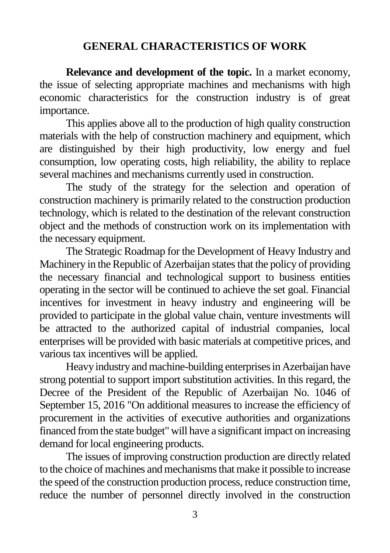### **GENERAL CHARACTERISTICS OF WORK**

**Relevance and development of the topic.** In a market economy, the issue of selecting appropriate machines and mechanisms with high economic characteristics for the construction industry is of great importance.

This applies above all to the production of high quality construction materials with the help of construction machinery and equipment, which are distinguished by their high productivity, low energy and fuel consumption, low operating costs, high reliability, the ability to replace several machines and mechanisms currently used in construction.

The study of the strategy for the selection and operation of construction machinery is primarily related to the construction production technology, which is related to the destination of the relevant construction object and the methods of construction work on its implementation with the necessary equipment.

The Strategic Roadmap for the Development of Heavy Industry and Machinery in the Republic of Azerbaijan states that the policy of providing the necessary financial and technological support to business entities operating in the sector will be continued to achieve the set goal. Financial incentives for investment in heavy industry and engineering will be provided to participate in the global value chain, venture investments will be attracted to the authorized capital of industrial companies, local enterprises will be provided with basic materials at competitive prices, and various tax incentives will be applied.

Heavy industry and machine-building enterprises in Azerbaijan have strong potential to support import substitution activities. In this regard, the Decree of the President of the Republic of Azerbaijan No. 1046 of September 15, 2016 "On additional measures to increase the efficiency of procurement in the activities of executive authorities and organizations financed from the state budget" will have a significant impact on increasing demand for local engineering products.

The issues of improving construction production are directly related to the choice of machines and mechanisms that make it possible to increase the speed of the construction production process, reduce construction time, reduce the number of personnel directly involved in the construction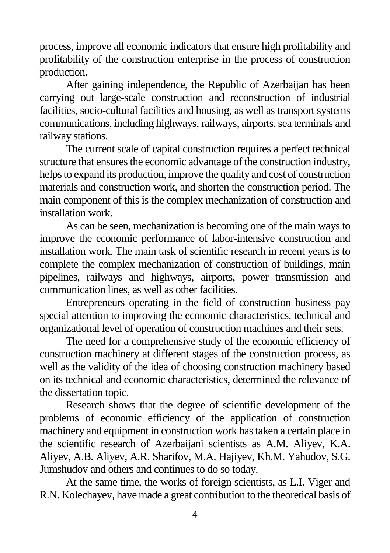process, improve all economic indicators that ensure high profitability and profitability of the construction enterprise in the process of construction production.

After gaining independence, the Republic of Azerbaijan has been carrying out large-scale construction and reconstruction of industrial facilities, socio-cultural facilities and housing, as well as transport systems communications, including highways, railways, airports, sea terminals and railway stations.

The current scale of capital construction requires a perfect technical structure that ensures the economic advantage of the construction industry, helps to expand its production, improve the quality and cost of construction materials and construction work, and shorten the construction period. The main component of this is the complex mechanization of construction and installation work.

As can be seen, mechanization is becoming one of the main ways to improve the economic performance of labor-intensive construction and installation work. The main task of scientific research in recent years is to complete the complex mechanization of construction of buildings, main pipelines, railways and highways, airports, power transmission and communication lines, as well as other facilities.

Entrepreneurs operating in the field of construction business pay special attention to improving the economic characteristics, technical and organizational level of operation of construction machines and their sets.

The need for a comprehensive study of the economic efficiency of construction machinery at different stages of the construction process, as well as the validity of the idea of choosing construction machinery based on its technical and economic characteristics, determined the relevance of the dissertation topic.

Research shows that the degree of scientific development of the problems of economic efficiency of the application of construction machinery and equipment in construction work has taken a certain place in the scientific research of Azerbaijani scientists as A.M. Aliyev, K.A. Aliyev, A.B. Aliyev, A.R. Sharifov, M.A. Hajiyev, Kh.M. Yahudov, S.G. Jumshudov and others and continues to do so today.

At the same time, the works of foreign scientists, as L.I. Viger and R.N. Kolechayev, have made a great contribution to the theoretical basis of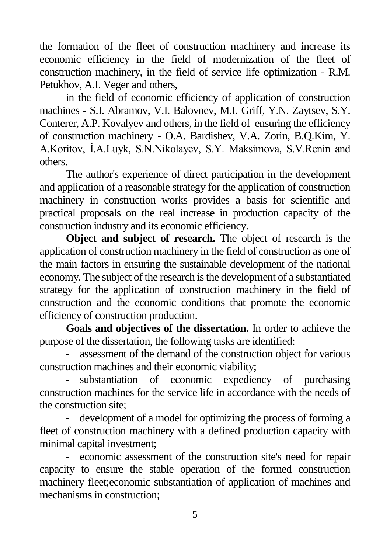the formation of the fleet of construction machinery and increase its economic efficiency in the field of modernization of the fleet of construction machinery, in the field of service life optimization - R.M. Petukhov, A.I. Veger and others,

in the field of economic efficiency of application of construction machines - S.I. Abramov, V.I. Balovnev, M.I. Griff, Y.N. Zaytsev, S.Y. Conterer, A.P. Kovalyev and others, in the field of ensuring the efficiency of construction machinery - O.A. Bardishev, V.A. Zorin, B.Q.Kim, Y. A.Koritov, İ.A.Luyk, S.N.Nikolayev, S.Y. Maksimova, S.V.Renin and others.

The author's experience of direct participation in the development and application of a reasonable strategy for the application of construction machinery in construction works provides a basis for scientific and practical proposals on the real increase in production capacity of the construction industry and its economic efficiency.

**Object and subject of research.** The object of research is the application of construction machinery in the field of construction as one of the main factors in ensuring the sustainable development of the national economy. The subject of the research is the development of a substantiated strategy for the application of construction machinery in the field of construction and the economic conditions that promote the economic efficiency of construction production.

**Goals and objectives of the dissertation.** In order to achieve the purpose of the dissertation, the following tasks are identified:

- assessment of the demand of the construction object for various construction machines and their economic viability;

- substantiation of economic expediency of purchasing construction machines for the service life in accordance with the needs of the construction site;

- development of a model for optimizing the process of forming a fleet of construction machinery with a defined production capacity with minimal capital investment;

- economic assessment of the construction site's need for repair capacity to ensure the stable operation of the formed construction machinery fleet;economic substantiation of application of machines and mechanisms in construction;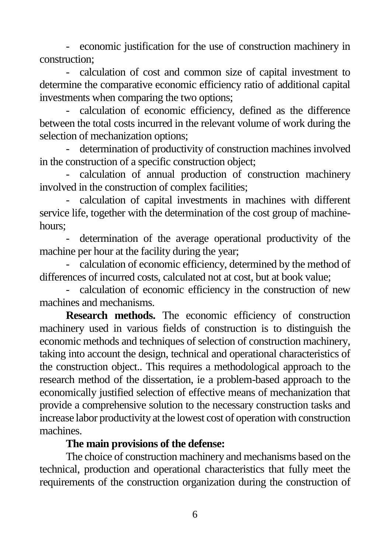- economic justification for the use of construction machinery in construction;

- calculation of cost and common size of capital investment to determine the comparative economic efficiency ratio of additional capital investments when comparing the two options;

- calculation of economic efficiency, defined as the difference between the total costs incurred in the relevant volume of work during the selection of mechanization options;

- determination of productivity of construction machines involved in the construction of a specific construction object;

- calculation of annual production of construction machinery involved in the construction of complex facilities;

- calculation of capital investments in machines with different service life, together with the determination of the cost group of machinehours;

determination of the average operational productivity of the machine per hour at the facility during the year;

- calculation of economic efficiency, determined by the method of differences of incurred costs, calculated not at cost, but at book value;

- calculation of economic efficiency in the construction of new machines and mechanisms.

**Research methods.** The economic efficiency of construction machinery used in various fields of construction is to distinguish the economic methods and techniques of selection of construction machinery, taking into account the design, technical and operational characteristics of the construction object.. This requires a methodological approach to the research method of the dissertation, ie a problem-based approach to the economically justified selection of effective means of mechanization that provide a comprehensive solution to the necessary construction tasks and increase labor productivity at the lowest cost of operation with construction machines.

#### **The main provisions of the defense:**

The choice of construction machinery and mechanisms based on the technical, production and operational characteristics that fully meet the requirements of the construction organization during the construction of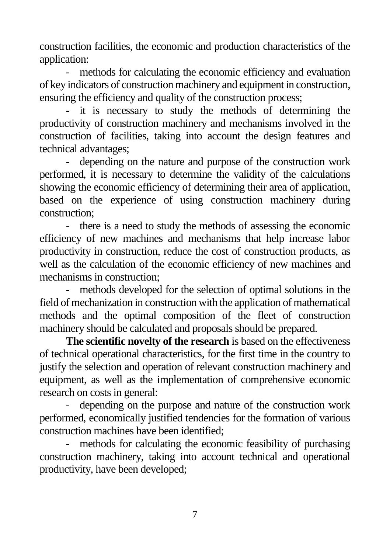construction facilities, the economic and production characteristics of the application:

- methods for calculating the economic efficiency and evaluation of key indicators of construction machinery and equipment in construction, ensuring the efficiency and quality of the construction process;

- it is necessary to study the methods of determining the productivity of construction machinery and mechanisms involved in the construction of facilities, taking into account the design features and technical advantages;

- depending on the nature and purpose of the construction work performed, it is necessary to determine the validity of the calculations showing the economic efficiency of determining their area of application, based on the experience of using construction machinery during construction;

- there is a need to study the methods of assessing the economic efficiency of new machines and mechanisms that help increase labor productivity in construction, reduce the cost of construction products, as well as the calculation of the economic efficiency of new machines and mechanisms in construction;

methods developed for the selection of optimal solutions in the field of mechanization in construction with the application of mathematical methods and the optimal composition of the fleet of construction machinery should be calculated and proposals should be prepared.

**The scientific novelty of the research** is based on the effectiveness of technical operational characteristics, for the first time in the country to justify the selection and operation of relevant construction machinery and equipment, as well as the implementation of comprehensive economic research on costs in general:

- depending on the purpose and nature of the construction work performed, economically justified tendencies for the formation of various construction machines have been identified;

- methods for calculating the economic feasibility of purchasing construction machinery, taking into account technical and operational productivity, have been developed;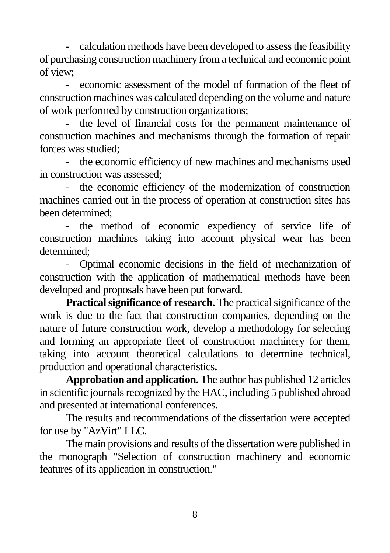- calculation methods have been developed to assess the feasibility of purchasing construction machinery from a technical and economic point of view;

- economic assessment of the model of formation of the fleet of construction machines was calculated depending on the volume and nature of work performed by construction organizations;

the level of financial costs for the permanent maintenance of construction machines and mechanisms through the formation of repair forces was studied;

- the economic efficiency of new machines and mechanisms used in construction was assessed;

- the economic efficiency of the modernization of construction machines carried out in the process of operation at construction sites has been determined;

- the method of economic expediency of service life of construction machines taking into account physical wear has been determined;

- Optimal economic decisions in the field of mechanization of construction with the application of mathematical methods have been developed and proposals have been put forward.

**Practical significance of research.** The practical significance of the work is due to the fact that construction companies, depending on the nature of future construction work, develop a methodology for selecting and forming an appropriate fleet of construction machinery for them, taking into account theoretical calculations to determine technical, production and operational characteristics**.**

**Approbation and application.** The author has published 12 articles in scientific journals recognized by the HAC, including 5 published abroad and presented at international conferences.

The results and recommendations of the dissertation were accepted for use by "AzVirt" LLC.

The main provisions and results of the dissertation were published in the monograph "Selection of construction machinery and economic features of its application in construction."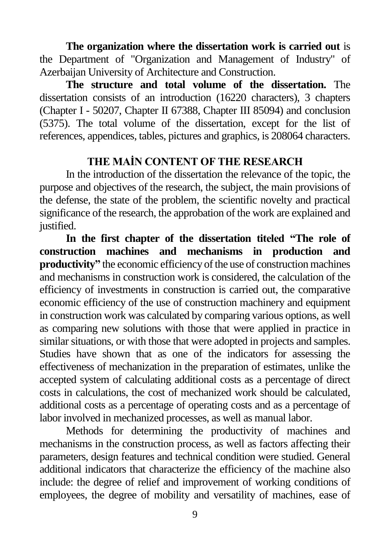**The organization where the dissertation work is carried out** is the Department of "Organization and Management of Industry" of Azerbaijan University of Architecture and Construction.

**The structure and total volume of the dissertation.** The dissertation consists of an introduction (16220 characters), 3 chapters (Chapter I - 50207, Chapter II 67388, Chapter III 85094) and conclusion (5375). The total volume of the dissertation, except for the list of references, appendices, tables, pictures and graphics, is 208064 characters.

### **THE MAİN CONTENT OF THE RESEARCH**

In the introduction of the dissertation the relevance of the topic, the purpose and objectives of the research, the subject, the main provisions of the defense, the state of the problem, the scientific novelty and practical significance of the research, the approbation of the work are explained and justified.

**In the first chapter of the dissertation titeled "The role of construction machines and mechanisms in production and productivity**" the economic efficiency of the use of construction machines and mechanisms in construction work is considered, the calculation of the efficiency of investments in construction is carried out, the comparative economic efficiency of the use of construction machinery and equipment in construction work was calculated by comparing various options, as well as comparing new solutions with those that were applied in practice in similar situations, or with those that were adopted in projects and samples. Studies have shown that as one of the indicators for assessing the effectiveness of mechanization in the preparation of estimates, unlike the accepted system of calculating additional costs as a percentage of direct costs in calculations, the cost of mechanized work should be calculated, additional costs as a percentage of operating costs and as a percentage of labor involved in mechanized processes, as well as manual labor.

Methods for determining the productivity of machines and mechanisms in the construction process, as well as factors affecting their parameters, design features and technical condition were studied. General additional indicators that characterize the efficiency of the machine also include: the degree of relief and improvement of working conditions of employees, the degree of mobility and versatility of machines, ease of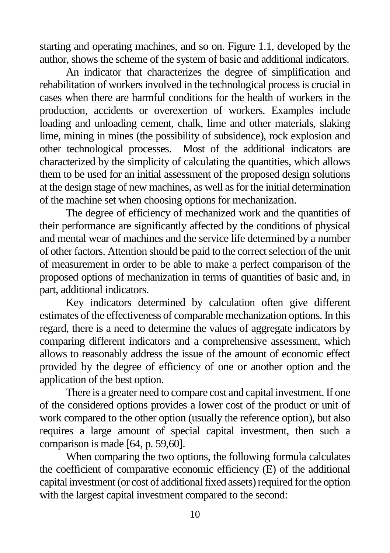starting and operating machines, and so on. Figure 1.1, developed by the author, shows the scheme of the system of basic and additional indicators.

An indicator that characterizes the degree of simplification and rehabilitation of workers involved in the technological process is crucial in cases when there are harmful conditions for the health of workers in the production, accidents or overexertion of workers. Examples include loading and unloading cement, chalk, lime and other materials, slaking lime, mining in mines (the possibility of subsidence), rock explosion and other technological processes. Most of the additional indicators are characterized by the simplicity of calculating the quantities, which allows them to be used for an initial assessment of the proposed design solutions at the design stage of new machines, as well as for the initial determination of the machine set when choosing options for mechanization.

The degree of efficiency of mechanized work and the quantities of their performance are significantly affected by the conditions of physical and mental wear of machines and the service life determined by a number of other factors. Attention should be paid to the correct selection of the unit of measurement in order to be able to make a perfect comparison of the proposed options of mechanization in terms of quantities of basic and, in part, additional indicators.

Key indicators determined by calculation often give different estimates of the effectiveness of comparable mechanization options. In this regard, there is a need to determine the values of aggregate indicators by comparing different indicators and a comprehensive assessment, which allows to reasonably address the issue of the amount of economic effect provided by the degree of efficiency of one or another option and the application of the best option.

There is a greater need to compare cost and capital investment. If one of the considered options provides a lower cost of the product or unit of work compared to the other option (usually the reference option), but also requires a large amount of special capital investment, then such a comparison is made [64, p. 59,60].

When comparing the two options, the following formula calculates the coefficient of comparative economic efficiency (E) of the additional capital investment (or cost of additional fixed assets) required for the option with the largest capital investment compared to the second: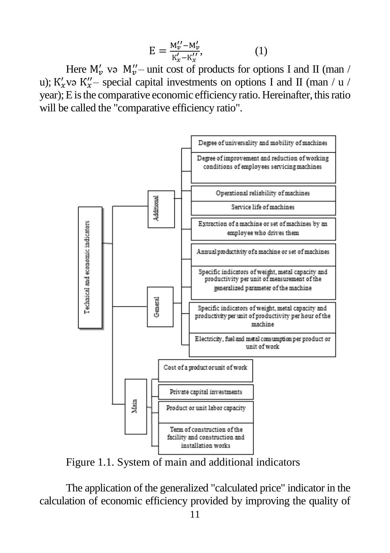$$
E = \frac{M_{\nu}^{\prime\prime} - M_{\nu}^{\prime}}{K_{x}^{\prime} - K_{x}^{\prime\prime}},
$$
 (1)

Here  $M'_v$  və  $M''_v$  unit cost of products for options I and II (man / u);  $K'_x$  və  $K''_x$  - special capital investments on options I and II (man / u / year); E is the comparative economic efficiency ratio. Hereinafter, this ratio will be called the "comparative efficiency ratio".



Figure 1.1. System of main and additional indicators

The application of the generalized "calculated price" indicator in the calculation of economic efficiency provided by improving the quality of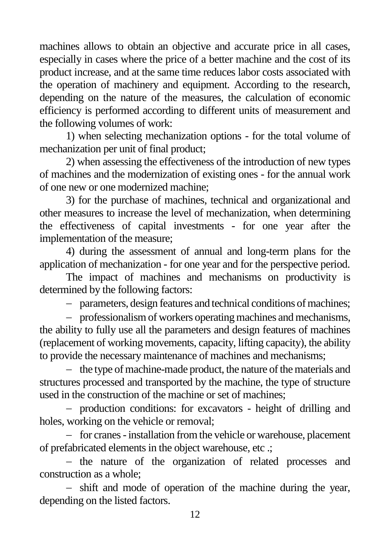machines allows to obtain an objective and accurate price in all cases, especially in cases where the price of a better machine and the cost of its product increase, and at the same time reduces labor costs associated with the operation of machinery and equipment. According to the research, depending on the nature of the measures, the calculation of economic efficiency is performed according to different units of measurement and the following volumes of work:

1) when selecting mechanization options - for the total volume of mechanization per unit of final product;

2) when assessing the effectiveness of the introduction of new types of machines and the modernization of existing ones - for the annual work of one new or one modernized machine;

3) for the purchase of machines, technical and organizational and other measures to increase the level of mechanization, when determining the effectiveness of capital investments - for one year after the implementation of the measure;

4) during the assessment of annual and long-term plans for the application of mechanization - for one year and for the perspective period.

The impact of machines and mechanisms on productivity is determined by the following factors:

− parameters, design features and technical conditions of machines;

− professionalism of workers operating machines and mechanisms, the ability to fully use all the parameters and design features of machines (replacement of working movements, capacity, lifting capacity), the ability to provide the necessary maintenance of machines and mechanisms;

− the type of machine-made product, the nature of the materials and structures processed and transported by the machine, the type of structure used in the construction of the machine or set of machines;

− production conditions: for excavators - height of drilling and holes, working on the vehicle or removal;

− for cranes -installation from the vehicle or warehouse, placement of prefabricated elements in the object warehouse, etc .;

− the nature of the organization of related processes and construction as a whole;

− shift and mode of operation of the machine during the year, depending on the listed factors.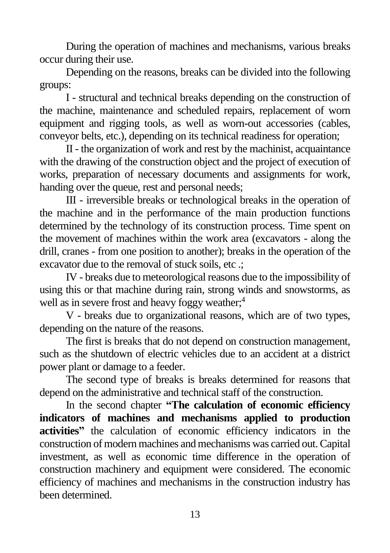During the operation of machines and mechanisms, various breaks occur during their use.

Depending on the reasons, breaks can be divided into the following groups:

I - structural and technical breaks depending on the construction of the machine, maintenance and scheduled repairs, replacement of worn equipment and rigging tools, as well as worn-out accessories (cables, conveyor belts, etc.), depending on its technical readiness for operation;

II - the organization of work and rest by the machinist, acquaintance with the drawing of the construction object and the project of execution of works, preparation of necessary documents and assignments for work, handing over the queue, rest and personal needs;

III - irreversible breaks or technological breaks in the operation of the machine and in the performance of the main production functions determined by the technology of its construction process. Time spent on the movement of machines within the work area (excavators - along the drill, cranes - from one position to another); breaks in the operation of the excavator due to the removal of stuck soils, etc .;

IV - breaks due to meteorological reasons due to the impossibility of using this or that machine during rain, strong winds and snowstorms, as well as in severe frost and heavy foggy weather;<sup>4</sup>

V - breaks due to organizational reasons, which are of two types, depending on the nature of the reasons.

The first is breaks that do not depend on construction management, such as the shutdown of electric vehicles due to an accident at a district power plant or damage to a feeder.

The second type of breaks is breaks determined for reasons that depend on the administrative and technical staff of the construction.

In the second chapter **"The calculation of economic efficiency indicators of machines and mechanisms applied to production activities"** the calculation of economic efficiency indicators in the construction of modern machines and mechanisms was carried out. Capital investment, as well as economic time difference in the operation of construction machinery and equipment were considered. The economic efficiency of machines and mechanisms in the construction industry has been determined.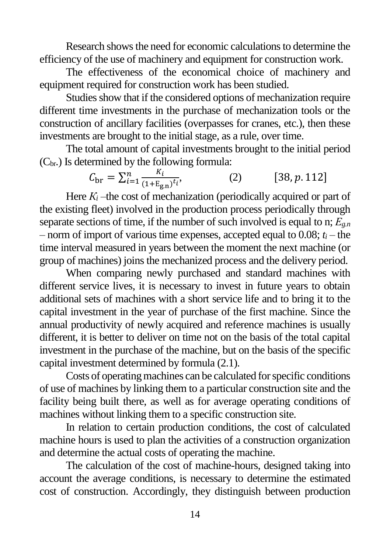Research shows the need for economic calculations to determine the efficiency of the use of machinery and equipment for construction work.

The effectiveness of the economical choice of machinery and equipment required for construction work has been studied.

Studies show that if the considered options of mechanization require different time investments in the purchase of mechanization tools or the construction of ancillary facilities (overpasses for cranes, etc.), then these investments are brought to the initial stage, as a rule, over time.

The total amount of capital investments brought to the initial period  $(C_{\text{br}})$  Is determined by the following formula:

$$
C_{\rm br} = \sum_{i=1}^{n} \frac{K_i}{(1 + E_{\rm gm})^{t_i}},
$$
 (2) [38, p. 112]

Here  $K_i$  –the cost of mechanization (periodically acquired or part of the existing fleet) involved in the production process periodically through separate sections of time, if the number of such involved is equal to n; *Еg.n*  – norm of import of various time expenses, accepted equal to 0.08;  $t_i$  – the time interval measured in years between the moment the next machine (or group of machines) joins the mechanized process and the delivery period.

When comparing newly purchased and standard machines with different service lives, it is necessary to invest in future years to obtain additional sets of machines with a short service life and to bring it to the capital investment in the year of purchase of the first machine. Since the annual productivity of newly acquired and reference machines is usually different, it is better to deliver on time not on the basis of the total capital investment in the purchase of the machine, but on the basis of the specific capital investment determined by formula (2.1).

Costs of operating machines can be calculated for specific conditions of use of machines by linking them to a particular construction site and the facility being built there, as well as for average operating conditions of machines without linking them to a specific construction site.

In relation to certain production conditions, the cost of calculated machine hours is used to plan the activities of a construction organization and determine the actual costs of operating the machine.

The calculation of the cost of machine-hours, designed taking into account the average conditions, is necessary to determine the estimated cost of construction. Accordingly, they distinguish between production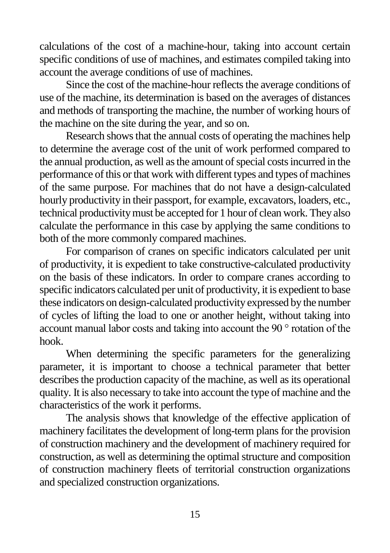calculations of the cost of a machine-hour, taking into account certain specific conditions of use of machines, and estimates compiled taking into account the average conditions of use of machines.

Since the cost of the machine-hour reflects the average conditions of use of the machine, its determination is based on the averages of distances and methods of transporting the machine, the number of working hours of the machine on the site during the year, and so on.

Research shows that the annual costs of operating the machines help to determine the average cost of the unit of work performed compared to the annual production, as well as the amount of special costs incurred in the performance of this or that work with different types and types of machines of the same purpose. For machines that do not have a design-calculated hourly productivity in their passport, for example, excavators, loaders, etc., technical productivity must be accepted for 1 hour of clean work. They also calculate the performance in this case by applying the same conditions to both of the more commonly compared machines.

For comparison of cranes on specific indicators calculated per unit of productivity, it is expedient to take constructive-calculated productivity on the basis of these indicators. In order to compare cranes according to specific indicators calculated per unit of productivity, it is expedient to base these indicators on design-calculated productivity expressed by the number of cycles of lifting the load to one or another height, without taking into account manual labor costs and taking into account the 90 ° rotation of the hook.

When determining the specific parameters for the generalizing parameter, it is important to choose a technical parameter that better describes the production capacity of the machine, as well as its operational quality. It is also necessary to take into account the type of machine and the characteristics of the work it performs.

The analysis shows that knowledge of the effective application of machinery facilitates the development of long-term plans for the provision of construction machinery and the development of machinery required for construction, as well as determining the optimal structure and composition of construction machinery fleets of territorial construction organizations and specialized construction organizations.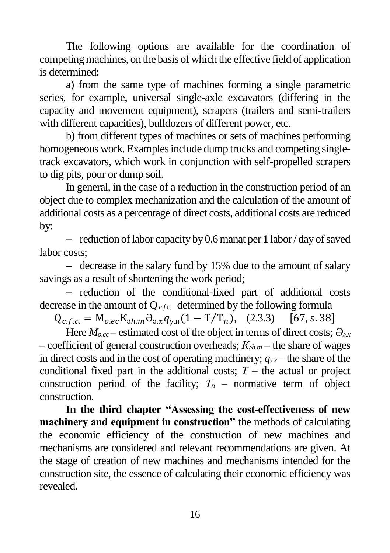The following options are available for the coordination of competing machines, on the basis of which the effective field of application is determined:

a) from the same type of machines forming a single parametric series, for example, universal single-axle excavators (differing in the capacity and movement equipment), scrapers (trailers and semi-trailers with different capacities), bulldozers of different power, etc.

b) from different types of machines or sets of machines performing homogeneous work. Examples include dump trucks and competing singletrack excavators, which work in conjunction with self-propelled scrapers to dig pits, pour or dump soil.

In general, in the case of a reduction in the construction period of an object due to complex mechanization and the calculation of the amount of additional costs as a percentage of direct costs, additional costs are reduced by:

− reduction of labor capacity by 0.6 manat per 1 labor / day of saved labor costs;

− decrease in the salary fund by 15% due to the amount of salary savings as a result of shortening the work period;

− reduction of the conditional-fixed part of additional costs decrease in the amount of Q*c.f.c.* determined by the following formula

 $Q_{c.f.c.} = M_{o.ec} K_{\vartheta h.m} \partial_{\vartheta x} q_{v.n} (1 - T/T_n),$  (2.3.3) [67, s. 38]

Here  $M_{\text{occ}}$  – estimated cost of the object in terms of direct costs;  $\Theta_{\text{ax}}$ – coefficient of general construction overheads; *Кəh.m* – the share of wages in direct costs and in the cost of operating machinery; *qş.s* – the share of the conditional fixed part in the additional costs;  $T$  – the actual or project construction period of the facility;  $T_n$  – normative term of object construction.

**In the third chapter "Assessing the cost-effectiveness of new machinery and equipment in construction"** the methods of calculating the economic efficiency of the construction of new machines and mechanisms are considered and relevant recommendations are given. At the stage of creation of new machines and mechanisms intended for the construction site, the essence of calculating their economic efficiency was revealed.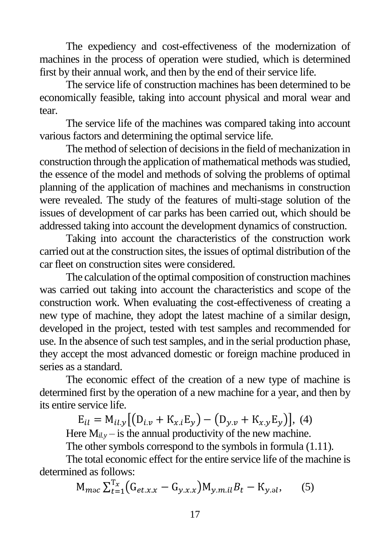The expediency and cost-effectiveness of the modernization of machines in the process of operation were studied, which is determined first by their annual work, and then by the end of their service life.

The service life of construction machines has been determined to be economically feasible, taking into account physical and moral wear and tear.

The service life of the machines was compared taking into account various factors and determining the optimal service life.

The method of selection of decisions in the field of mechanization in construction through the application of mathematical methods was studied, the essence of the model and methods of solving the problems of optimal planning of the application of machines and mechanisms in construction were revealed. The study of the features of multi-stage solution of the issues of development of car parks has been carried out, which should be addressed taking into account the development dynamics of construction.

Taking into account the characteristics of the construction work carried out at the construction sites, the issues of optimal distribution of the car fleet on construction sites were considered.

The calculation of the optimal composition of construction machines was carried out taking into account the characteristics and scope of the construction work. When evaluating the cost-effectiveness of creating a new type of machine, they adopt the latest machine of a similar design, developed in the project, tested with test samples and recommended for use. In the absence of such test samples, and in the serial production phase, they accept the most advanced domestic or foreign machine produced in series as a standard.

The economic effect of the creation of a new type of machine is determined first by the operation of a new machine for a year, and then by its entire service life.

 $E_{il} = M_{il,y} [(D_{i,v} + K_{x,i}E_y) - (D_{y,v} + K_{x,v}E_y)],$  (4)

Here  $M_{il,v}$  – is the annual productivity of the new machine.

The other symbols correspond to the symbols in formula (1.11).

The total economic effect for the entire service life of the machine is determined as follows:

$$
M_{m \circ c} \sum_{t=1}^{T_x} (G_{et.x.x} - G_{y.x.x}) M_{y.m.i} B_t - K_{y.s.},
$$
 (5)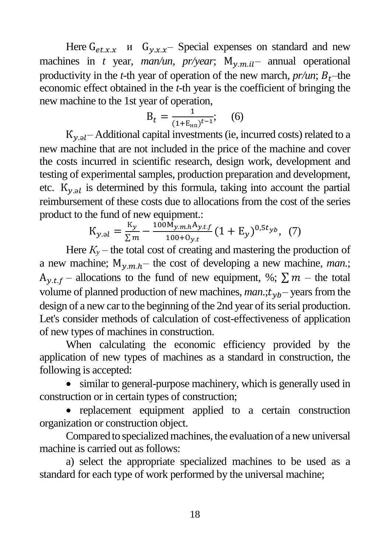Here  $G_{\epsilon, x}$   $\mu$   $G_{\nu, x}$  Special expenses on standard and new machines in *t* year, *man/un*, *pr/year*;  $M_{v.m.i}$  annual operational productivity in the *t*-th year of operation of the new march,  $pr/un$ ;  $B_t$ -the economic effect obtained in the *t*-th year is the coefficient of bringing the new machine to the 1st year of operation,

$$
B_t = \frac{1}{(1 + E_{\rm HI})^{t-1}};
$$
 (6)

 $K_{v,el}$ – Additional capital investments (ie, incurred costs) related to a new machine that are not included in the price of the machine and cover the costs incurred in scientific research, design work, development and testing of experimental samples, production preparation and development, etc.  $K_{y,el}$  is determined by this formula, taking into account the partial reimbursement of these costs due to allocations from the cost of the series product to the fund of new equipment.:

$$
K_{y,ol} = \frac{K_y}{\Sigma m} - \frac{100M_{y,m,h}A_{y,t,f}}{100+0_{y,t}} (1 + E_y)^{0,5t_{yb}},
$$
 (7)

Here  $K<sub>v</sub>$  – the total cost of creating and mastering the production of a new machine;  $M_{\gamma,m,h}$  the cost of developing a new machine, *man.*;  $A_{y,t,f}$  – allocations to the fund of new equipment, %;  $\sum m$  – the total volume of planned production of new machines,  $man: t_{vb}$  years from the design of a new car to the beginning of the 2nd year of its serial production. Let's consider methods of calculation of cost-effectiveness of application of new types of machines in construction.

When calculating the economic efficiency provided by the application of new types of machines as a standard in construction, the following is accepted:

• similar to general-purpose machinery, which is generally used in construction or in certain types of construction;

• replacement equipment applied to a certain construction organization or construction object.

Compared to specialized machines, the evaluation of a new universal machine is carried out as follows:

a) select the appropriate specialized machines to be used as a standard for each type of work performed by the universal machine;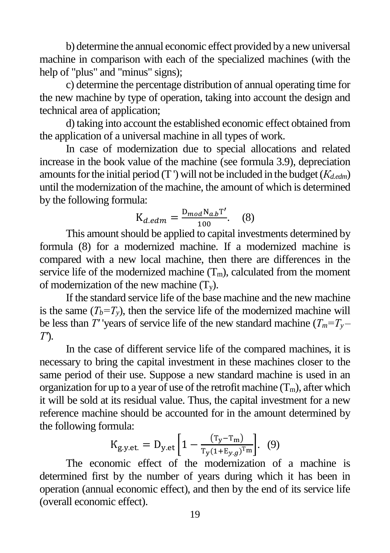b) determine the annual economic effect provided by a new universal machine in comparison with each of the specialized machines (with the help of "plus" and "minus" signs);

c) determine the percentage distribution of annual operating time for the new machine by type of operation, taking into account the design and technical area of application;

d) taking into account the established economic effect obtained from the application of a universal machine in all types of work.

In case of modernization due to special allocations and related increase in the book value of the machine (see formula 3.9), depreciation amounts for the initial period (T ') will not be included in the budget (*Кd.edm*) until the modernization of the machine, the amount of which is determined by the following formula:

$$
K_{d.edum} = \frac{D_{mod}N_{a.b}T'}{100}.
$$
 (8)

This amount should be applied to capital investments determined by formula (8) for a modernized machine. If a modernized machine is compared with a new local machine, then there are differences in the service life of the modernized machine  $(T_m)$ , calculated from the moment of modernization of the new machine  $(T_v)$ .

If the standard service life of the base machine and the new machine is the same  $(T_b = T_v)$ , then the service life of the modernized machine will be less than *T'* 'years of service life of the new standard machine  $(T_m = T_v - T_v)$ *Т'*).

In the case of different service life of the compared machines, it is necessary to bring the capital investment in these machines closer to the same period of their use. Suppose a new standard machine is used in an organization for up to a year of use of the retrofit machine  $(T_m)$ , after which it will be sold at its residual value. Thus, the capital investment for a new reference machine should be accounted for in the amount determined by the following formula:

$$
K_{\text{g.y.et.}} = D_{\text{y.et}} \left[ 1 - \frac{(T_{\text{y}} - T_{\text{m}})}{T_{\text{y}} (1 + E_{\text{y.g}})^{T_{\text{m}}}} \right]. \tag{9}
$$

The economic effect of the modernization of a machine is determined first by the number of years during which it has been in operation (annual economic effect), and then by the end of its service life (overall economic effect).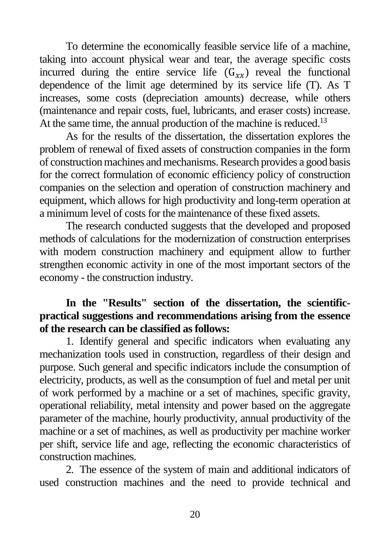To determine the economically feasible service life of a machine, taking into account physical wear and tear, the average specific costs incurred during the entire service life  $(G_{rr})$  reveal the functional dependence of the limit age determined by its service life (T). As T increases, some costs (depreciation amounts) decrease, while others (maintenance and repair costs, fuel, lubricants, and eraser costs) increase. At the same time, the annual production of the machine is reduced.<sup>13</sup>

As for the results of the dissertation, the dissertation explores the problem of renewal of fixed assets of construction companies in the form of construction machines and mechanisms. Research provides a good basis for the correct formulation of economic efficiency policy of construction companies on the selection and operation of construction machinery and equipment, which allows for high productivity and long-term operation at a minimum level of costs for the maintenance of these fixed assets.

The research conducted suggests that the developed and proposed methods of calculations for the modernization of construction enterprises with modern construction machinery and equipment allow to further strengthen economic activity in one of the most important sectors of the economy - the construction industry.

# **In the "Results" section of the dissertation, the scientificpractical suggestions and recommendations arising from the essence of the research can be classified as follows:**

1. Identify general and specific indicators when evaluating any mechanization tools used in construction, regardless of their design and purpose. Such general and specific indicators include the consumption of electricity, products, as well as the consumption of fuel and metal per unit of work performed by a machine or a set of machines, specific gravity, operational reliability, metal intensity and power based on the aggregate parameter of the machine, hourly productivity, annual productivity of the machine or a set of machines, as well as productivity per machine worker per shift, service life and age, reflecting the economic characteristics of construction machines.

2. The essence of the system of main and additional indicators of used construction machines and the need to provide technical and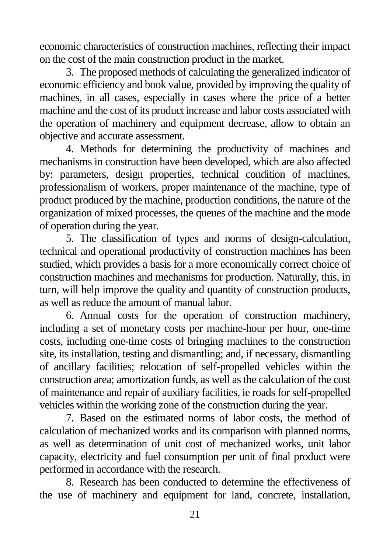economic characteristics of construction machines, reflecting their impact on the cost of the main construction product in the market.

3. The proposed methods of calculating the generalized indicator of economic efficiency and book value, provided by improving the quality of machines, in all cases, especially in cases where the price of a better machine and the cost of its product increase and labor costs associated with the operation of machinery and equipment decrease, allow to obtain an objective and accurate assessment.

4. Methods for determining the productivity of machines and mechanisms in construction have been developed, which are also affected by: parameters, design properties, technical condition of machines, professionalism of workers, proper maintenance of the machine, type of product produced by the machine, production conditions, the nature of the organization of mixed processes, the queues of the machine and the mode of operation during the year.

5. The classification of types and norms of design-calculation, technical and operational productivity of construction machines has been studied, which provides a basis for a more economically correct choice of construction machines and mechanisms for production. Naturally, this, in turn, will help improve the quality and quantity of construction products, as well as reduce the amount of manual labor.

6. Annual costs for the operation of construction machinery, including a set of monetary costs per machine-hour per hour, one-time costs, including one-time costs of bringing machines to the construction site, its installation, testing and dismantling; and, if necessary, dismantling of ancillary facilities; relocation of self-propelled vehicles within the construction area; amortization funds, as well as the calculation of the cost of maintenance and repair of auxiliary facilities, ie roads for self-propelled vehicles within the working zone of the construction during the year.

7. Based on the estimated norms of labor costs, the method of calculation of mechanized works and its comparison with planned norms, as well as determination of unit cost of mechanized works, unit labor capacity, electricity and fuel consumption per unit of final product were performed in accordance with the research.

8. Research has been conducted to determine the effectiveness of the use of machinery and equipment for land, concrete, installation,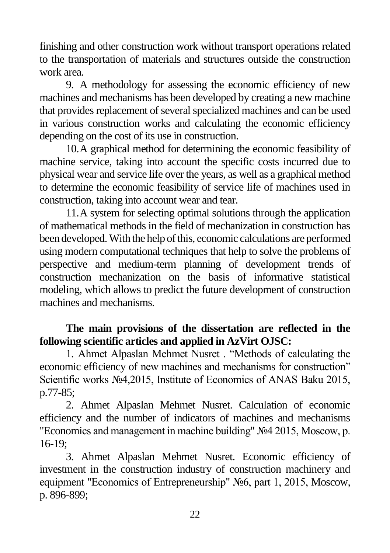finishing and other construction work without transport operations related to the transportation of materials and structures outside the construction work area.

9. A methodology for assessing the economic efficiency of new machines and mechanisms has been developed by creating a new machine that provides replacement of several specialized machines and can be used in various construction works and calculating the economic efficiency depending on the cost of its use in construction.

10.A graphical method for determining the economic feasibility of machine service, taking into account the specific costs incurred due to physical wear and service life over the years, as well as a graphical method to determine the economic feasibility of service life of machines used in construction, taking into account wear and tear.

11.A system for selecting optimal solutions through the application of mathematical methods in the field of mechanization in construction has been developed. With the help of this, economic calculations are performed using modern computational techniques that help to solve the problems of perspective and medium-term planning of development trends of construction mechanization on the basis of informative statistical modeling, which allows to predict the future development of construction machines and mechanisms.

# **The main provisions of the dissertation are reflected in the following scientific articles and applied in AzVirt OJSC:**

1. Ahmet Alpaslan Mehmet Nusret . "Methods of calculating the economic efficiency of new machines and mechanisms for construction" Scientific works №4,2015, Institute of Economics of ANAS Baku 2015, p.77-85;

2. Ahmet Alpaslan Mehmet Nusret. Calculation of economic efficiency and the number of indicators of machines and mechanisms "Economics and management in machine building" №4 2015, Moscow, p. 16-19;

3. Ahmet Alpaslan Mehmet Nusret. Economic efficiency of investment in the construction industry of construction machinery and equipment "Economics of Entrepreneurship" №6, part 1, 2015, Moscow, p. 896-899;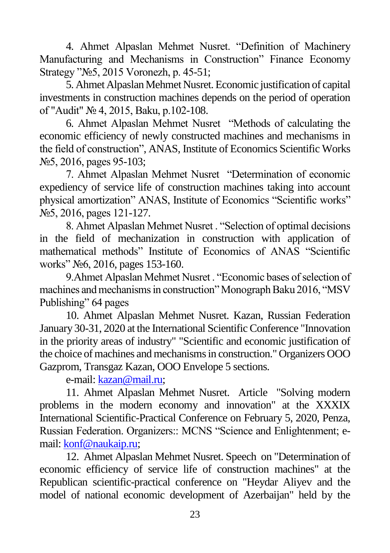4. Ahmet Alpaslan Mehmet Nusret. "Definition of Machinery Manufacturing and Mechanisms in Construction" Finance Economy Strategy "№5, 2015 Voronezh, p. 45-51;

5. Ahmet Alpaslan Mehmet Nusret. Economic justification of capital investments in construction machines depends on the period of operation of "Audit" № 4, 2015, Baku, p.102-108.

6. Ahmet Alpaslan Mehmet Nusret "Methods of calculating the economic efficiency of newly constructed machines and mechanisms in the field of construction", ANAS, Institute of Economics Scientific Works №5, 2016, pages 95-103;

7. Ahmet Alpaslan Mehmet Nusret "Determination of economic expediency of service life of construction machines taking into account physical amortization" ANAS, Institute of Economics "Scientific works" №5, 2016, pages 121-127.

8. Ahmet Alpaslan Mehmet Nusret . "Selection of optimal decisions in the field of mechanization in construction with application of mathematical methods" Institute of Economics of ANAS "Scientific works" №6, 2016, pages 153-160.

9.Ahmet Alpaslan Mehmet Nusret . "Economic bases of selection of machines and mechanisms in construction" Monograph Baku 2016, "MSV Publishing" 64 pages

10. Ahmet Alpaslan Mehmet Nusret. Kazan, Russian Federation January 30-31, 2020 at the International Scientific Conference "Innovation in the priority areas of industry" "Scientific and economic justification of the choice of machines and mechanisms in construction." Organizers OOO Gazprom, Transgaz Kazan, OOO Envelope 5 sections.

e-mail[: kazan@mail.ru;](mailto:kazan@mail.ru)

11. Ahmet Alpaslan Mehmet Nusret. Article "Solving modern problems in the modern economy and innovation" at the XXXIX International Scientific-Practical Conference on February 5, 2020, Penza, Russian Federation. Organizers:: MCNS "Science and Enlightenment; email: [konf@naukaip.ru;](mailto:konf@naukaip.ru)

12. Ahmet Alpaslan Mehmet Nusret. Speech on "Determination of economic efficiency of service life of construction machines" at the Republican scientific-practical conference on "Heydar Aliyev and the model of national economic development of Azerbaijan" held by the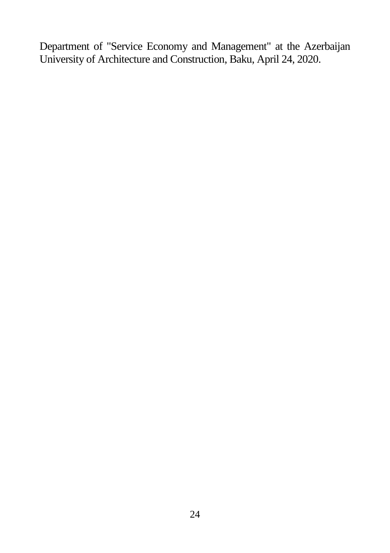Department of "Service Economy and Management" at the Azerbaijan University of Architecture and Construction, Baku, April 24, 2020.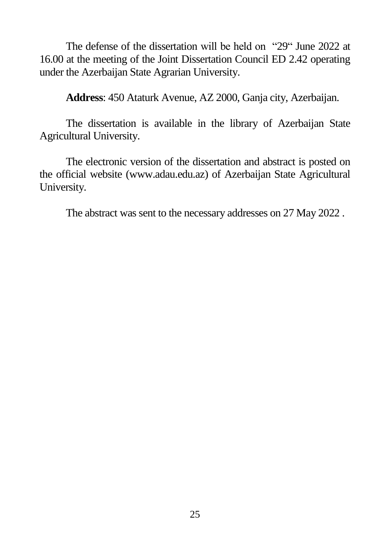The defense of the dissertation will be held on "29" June 2022 at 16.00 at the meeting of the Joint Dissertation Council ED 2.42 operating under the Azerbaijan State Agrarian University.

**Address**: 450 Ataturk Avenue, AZ 2000, Ganja city, Azerbaijan.

The dissertation is available in the library of Azerbaijan State Agricultural University.

The electronic version of the dissertation and abstract is posted on the official website (www.adau.edu.az) of Azerbaijan State Agricultural University.

The abstract was sent to the necessary addresses on 27 May 2022 .